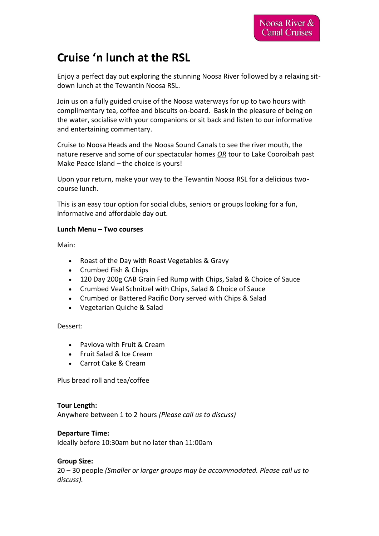# **Cruise 'n lunch at the RSL**

Enjoy a perfect day out exploring the stunning Noosa River followed by a relaxing sitdown lunch at the Tewantin Noosa RSL.

Join us on a fully guided cruise of the Noosa waterways for up to two hours with complimentary tea, coffee and biscuits on-board. Bask in the pleasure of being on the water, socialise with your companions or sit back and listen to our informative and entertaining commentary.

Cruise to Noosa Heads and the Noosa Sound Canals to see the river mouth, the nature reserve and some of our spectacular homes *OR* tour to Lake Cooroibah past Make Peace Island – the choice is yours!

Upon your return, make your way to the Tewantin Noosa RSL for a delicious twocourse lunch.

This is an easy tour option for social clubs, seniors or groups looking for a fun, informative and affordable day out.

# **Lunch Menu – Two courses**

Main:

- Roast of the Day with Roast Vegetables & Gravy
- Crumbed Fish & Chips
- 120 Day 200g CAB Grain Fed Rump with Chips, Salad & Choice of Sauce
- Crumbed Veal Schnitzel with Chips, Salad & Choice of Sauce
- Crumbed or Battered Pacific Dory served with Chips & Salad
- Vegetarian Quiche & Salad

Dessert:

- Pavlova with Fruit & Cream
- Fruit Salad & Ice Cream
- Carrot Cake & Cream

Plus bread roll and tea/coffee

**Tour Length:** Anywhere between 1 to 2 hours *(Please call us to discuss)*

## **Departure Time:**

Ideally before 10:30am but no later than 11:00am

## **Group Size:**

20 – 30 people *(Smaller or larger groups may be accommodated. Please call us to discuss).*